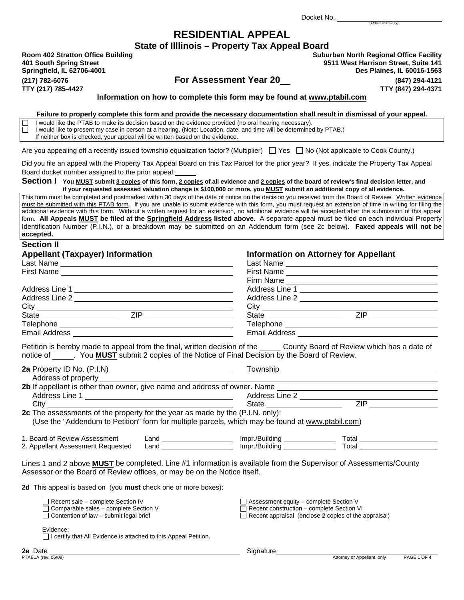Docket No.

# **RESIDENTIAL APPEAL**

**State of Illlinois – Property Tax Appeal Board**

 $Springfield, IL 62706-4001$ 

**Room 402 Stratton Office Building Suburban North Regional Office Facility 401 South Spring Street 9511 West Harrison Street, Suite 141 (217) 782-6076 For Assessment Year 20 (847) 294-4121 TTY (217) 785-4427 TTY (847) 294-4371** 

(Office Use Only)

**Information on how to complete this form may be found at www.ptabil.com**

**Failure to properly complete this form and provide the necessary documentation shall result in dismissal of your appeal.** 

 $\Box$  I would like the PTAB to make its decision based on the evidence provided (no oral hearing necessary).<br>I vould like to present my case in person at a hearing. (Note: Location, date, and time will be determined I would like to present my case in person at a hearing. (Note: Location, date, and time will be determined by PTAB.)

If neither box is checked, your appeal will be written based on the evidence.

Are you appealing off a recently issued township equalization factor? (Multiplier)  $\Box$  Yes  $\Box$  No (Not applicable to Cook County.)

Did you file an appeal with the Property Tax Appeal Board on this Tax Parcel for the prior year? If yes, indicate the Property Tax Appeal Board docket number assigned to the prior appeal:.

#### Section I You MUST submit 3 copies of this form, 2 copies of all evidence and 2 copies of the board of review's final decision letter, and **if your requested assessed valuation change is \$100,000 or more, you MUST submit an additional copy of all evidence.**

This form must be completed and postmarked within 30 days of the date of notice on the decision you received from the Board of Review. Written evidence must be submitted with this PTAB form. If you are unable to submit evidence with this form, you must request an extension of time in writing for filing the additional evidence with this form. Without a written request for an extension, no additional evidence will be accepted after the submission of this appeal form. **All Appeals MUST be filed at the Springfield Address listed above.** A separate appeal must be filed on each individual Property Identification Number (P.I.N.), or a breakdown may be submitted on an Addendum form (see 2c below). **Faxed appeals will not be accepted.**

#### **Section II**

| First Name<br>Firm Name ________________________                                                               |
|----------------------------------------------------------------------------------------------------------------|
|                                                                                                                |
|                                                                                                                |
| Address Line 1                                                                                                 |
| Address Line 2 and 2 and 2 and 2 and 2 and 2 and 2 and 2 and 2 and 2 and 2 and 2 and 2 and 2 and 2 and 2 and 2 |
| $\text{City}$ $\frac{1}{2}$                                                                                    |
| ZIP <b>ZIP</b>                                                                                                 |
| Telephone _____________________                                                                                |
| Email Address <b>Email</b>                                                                                     |
|                                                                                                                |

Petition is hereby made to appeal from the final, written decision of the County Board of Review which has a date of notice of . You **MUST** submit 2 copies of the Notice of Final Decision by the Board of Review.

|                                                                                                                                                                                               | Township                                                                                          |                                                             |
|-----------------------------------------------------------------------------------------------------------------------------------------------------------------------------------------------|---------------------------------------------------------------------------------------------------|-------------------------------------------------------------|
|                                                                                                                                                                                               |                                                                                                   |                                                             |
|                                                                                                                                                                                               |                                                                                                   |                                                             |
|                                                                                                                                                                                               | Address Line 2                                                                                    |                                                             |
| City                                                                                                                                                                                          | State ______________________                                                                      | <b>ZIP</b>                                                  |
| 2c The assessments of the property for the year as made by the (P.I.N. only):                                                                                                                 |                                                                                                   |                                                             |
| (Use the "Addendum to Petition" form for multiple parcels, which may be found at www.ptabil.com)                                                                                              |                                                                                                   |                                                             |
|                                                                                                                                                                                               |                                                                                                   |                                                             |
| 1. Board of Review Assessment                                                                                                                                                                 | Land ________________________ Impr./Building ______________                                       | Total ________________                                      |
| 2. Appellant Assessment Requested                                                                                                                                                             | Land ________________________ Impr./Building _______________                                      | Total _______________                                       |
| Lines 1 and 2 above MUST be completed. Line #1 information is available from the Supervisor of Assessments/County<br>Assessor or the Board of Review offices, or may be on the Notice itself. |                                                                                                   |                                                             |
| 2d This appeal is based on (you must check one or more boxes):                                                                                                                                |                                                                                                   |                                                             |
| $\Box$ Recent sale – complete Section IV<br>$\Box$ Comparable sales – complete Section V<br>$\Box$ Contention of law – submit legal brief                                                     | $\Box$ Assessment equity – complete Section V<br>$\Box$ Recent construction – complete Section VI | $\Box$ Recent appraisal (enclose 2 copies of the appraisal) |
| Evidence:<br>  I certify that All Evidence is attached to this Appeal Petition.                                                                                                               |                                                                                                   |                                                             |

| I certify that All Evidence is attached to this Appeal Petition. |  |
|------------------------------------------------------------------|--|
|------------------------------------------------------------------|--|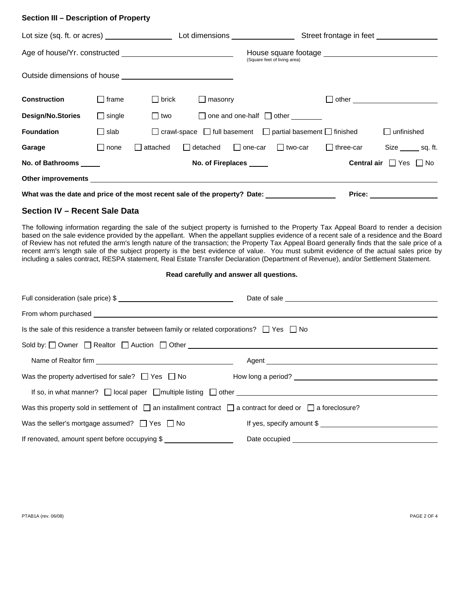### **Section III – Description of Property**

|                                                                                                      |               |            |                                               |                   |                                                | Street frontage in feet                                                         |                                                                                                                         |
|------------------------------------------------------------------------------------------------------|---------------|------------|-----------------------------------------------|-------------------|------------------------------------------------|---------------------------------------------------------------------------------|-------------------------------------------------------------------------------------------------------------------------|
|                                                                                                      |               |            |                                               |                   | (Square feet of living area)                   |                                                                                 |                                                                                                                         |
|                                                                                                      |               |            |                                               |                   |                                                |                                                                                 |                                                                                                                         |
| Construction                                                                                         | $\Box$ frame  | l I brick  | $\Box$ masonry                                |                   |                                                |                                                                                 |                                                                                                                         |
| <b>Design/No.Stories</b>                                                                             | $\Box$ single | $\Box$ two |                                               |                   | $\Box$ one and one-half $\Box$ other _________ |                                                                                 |                                                                                                                         |
| <b>Foundation</b>                                                                                    | $\Box$ slab   |            |                                               |                   |                                                | $\Box$ crawl-space $\Box$ full basement $\Box$ partial basement $\Box$ finished | unfinished<br>$\perp$                                                                                                   |
| Garage                                                                                               | none          | attached   | $\Box$ detached $\Box$ one-car $\Box$ two-car |                   |                                                | $\Box$ three-car                                                                | Size _______ sq. ft.                                                                                                    |
| No. of Bathrooms ______                                                                              |               |            |                                               | No. of Fireplaces |                                                |                                                                                 | <b>Central air</b> $\Box$ Yes $\Box$ No                                                                                 |
|                                                                                                      |               |            |                                               |                   |                                                |                                                                                 |                                                                                                                         |
| What was the date and price of the most recent sale of the property? Date: _________________________ |               |            |                                               |                   |                                                | Price: $\mathcal{L}$                                                            | <u> The Communication of the Communication of the Communication of the Communication of the Communication of the Co</u> |

#### **Section IV – Recent Sale Data**

The following information regarding the sale of the subject property is furnished to the Property Tax Appeal Board to render a decision based on the sale evidence provided by the appellant. When the appellant supplies evidence of a recent sale of a residence and the Board of Review has not refuted the arm's length nature of the transaction; the Property Tax Appeal Board generally finds that the sale price of a recent arm's length sale of the subject property is the best evidence of value. You must submit evidence of the actual sales price by including a sales contract, RESPA statement, Real Estate Transfer Declaration (Department of Revenue), and/or Settlement Statement.

#### **Read carefully and answer all questions.**

| Is the sale of this residence a transfer between family or related corporations? $\Box$ Yes $\Box$ No                      |                           |
|----------------------------------------------------------------------------------------------------------------------------|---------------------------|
|                                                                                                                            |                           |
|                                                                                                                            |                           |
| Was the property advertised for sale? $\Box$ Yes $\Box$ No How long a period?                                              |                           |
| If so, in what manner? $\Box$ local paper $\Box$ multiple listing $\Box$ other $\Box$                                      |                           |
| Was this property sold in settlement of $\Box$ an installment contract $\Box$ a contract for deed or $\Box$ a foreclosure? |                           |
| Was the seller's mortgage assumed? $\Box$ Yes $\Box$ No                                                                    | If yes, specify amount \$ |
| If renovated, amount spent before occupying \$                                                                             |                           |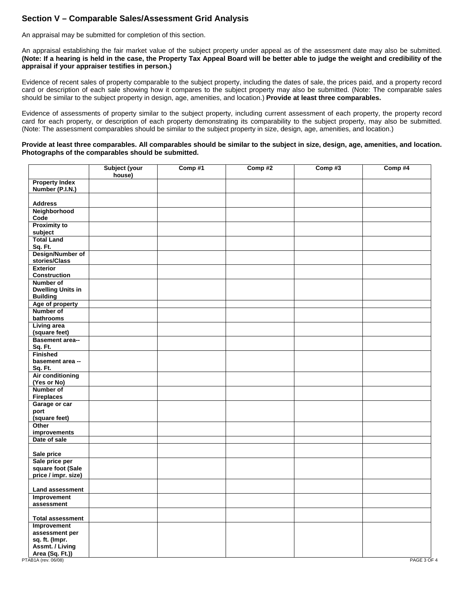# **Section V – Comparable Sales/Assessment Grid Analysis**

An appraisal may be submitted for completion of this section.

An appraisal establishing the fair market value of the subject property under appeal as of the assessment date may also be submitted. **(Note: If a hearing is held in the case, the Property Tax Appeal Board will be better able to judge the weight and credibility of the appraisal if your appraiser testifies in person.)**

Evidence of recent sales of property comparable to the subject property, including the dates of sale, the prices paid, and a property record card or description of each sale showing how it compares to the subject property may also be submitted. (Note: The comparable sales should be similar to the subject property in design, age, amenities, and location.) **Provide at least three comparables.** 

Evidence of assessments of property similar to the subject property, including current assessment of each property, the property record card for each property, or description of each property demonstrating its comparability to the subject property, may also be submitted. (Note: The assessment comparables should be similar to the subject property in size, design, age, amenities, and location.)

#### **Provide at least three comparables. All comparables should be similar to the subject in size, design, age, amenities, and location. Photographs of the comparables should be submitted.**

|                                               | Subject (your<br>house) | Comp#1 | Comp#2 | Comp#3 | Comp #4     |
|-----------------------------------------------|-------------------------|--------|--------|--------|-------------|
| <b>Property Index</b><br>Number (P.I.N.)      |                         |        |        |        |             |
| <b>Address</b>                                |                         |        |        |        |             |
| Neighborhood                                  |                         |        |        |        |             |
| Code                                          |                         |        |        |        |             |
| <b>Proximity to</b>                           |                         |        |        |        |             |
| subject                                       |                         |        |        |        |             |
| <b>Total Land</b>                             |                         |        |        |        |             |
| Sq. Ft.                                       |                         |        |        |        |             |
| Design/Number of<br>stories/Class             |                         |        |        |        |             |
| <b>Exterior</b>                               |                         |        |        |        |             |
| <b>Construction</b>                           |                         |        |        |        |             |
| Number of                                     |                         |        |        |        |             |
| <b>Dwelling Units in</b>                      |                         |        |        |        |             |
| <b>Building</b>                               |                         |        |        |        |             |
| Age of property                               |                         |        |        |        |             |
| Number of                                     |                         |        |        |        |             |
| bathrooms                                     |                         |        |        |        |             |
| <b>Living area</b>                            |                         |        |        |        |             |
| (square feet)                                 |                         |        |        |        |             |
| Basement area--                               |                         |        |        |        |             |
| Sq. Ft.                                       |                         |        |        |        |             |
| <b>Finished</b>                               |                         |        |        |        |             |
| basement area --                              |                         |        |        |        |             |
| Sq. Ft.<br>Air conditioning                   |                         |        |        |        |             |
| (Yes or No)                                   |                         |        |        |        |             |
| Number of                                     |                         |        |        |        |             |
| <b>Fireplaces</b>                             |                         |        |        |        |             |
| Garage or car                                 |                         |        |        |        |             |
| port                                          |                         |        |        |        |             |
| (square feet)                                 |                         |        |        |        |             |
| Other                                         |                         |        |        |        |             |
| improvements                                  |                         |        |        |        |             |
| Date of sale                                  |                         |        |        |        |             |
|                                               |                         |        |        |        |             |
| Sale price                                    |                         |        |        |        |             |
| Sale price per                                |                         |        |        |        |             |
| square foot (Sale<br>price / impr. size)      |                         |        |        |        |             |
|                                               |                         |        |        |        |             |
| <b>Land assessment</b>                        |                         |        |        |        |             |
| Improvement                                   |                         |        |        |        |             |
| assessment                                    |                         |        |        |        |             |
|                                               |                         |        |        |        |             |
| <b>Total assessment</b>                       |                         |        |        |        |             |
| Improvement                                   |                         |        |        |        |             |
| assessment per                                |                         |        |        |        |             |
| sq. ft. (Impr.                                |                         |        |        |        |             |
| Assmt. / Living                               |                         |        |        |        |             |
| <b>Area (Sq. Ft.))</b><br>PTAB1A (rev. 06/08) |                         |        |        |        | PAGE 3 OF 4 |